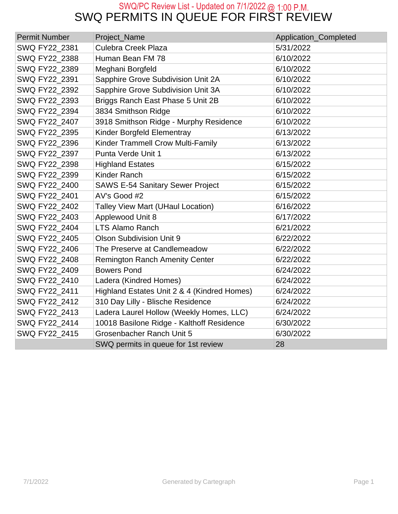#### SWQ PERMITS IN QUEUE FOR FIRST REVIEW SWQ/PC Review List - Updated on 7/1/2022 @ 1:00 P.M.

| <b>Permit Number</b> | Project_Name                                | Application_Completed |
|----------------------|---------------------------------------------|-----------------------|
| SWQ FY22_2381        | <b>Culebra Creek Plaza</b>                  | 5/31/2022             |
| SWQ FY22_2388        | Human Bean FM 78                            | 6/10/2022             |
| SWQ FY22_2389        | Meghani Borgfeld                            | 6/10/2022             |
| SWQ FY22_2391        | Sapphire Grove Subdivision Unit 2A          | 6/10/2022             |
| SWQ FY22_2392        | Sapphire Grove Subdivision Unit 3A          | 6/10/2022             |
| SWQ FY22_2393        | Briggs Ranch East Phase 5 Unit 2B           | 6/10/2022             |
| SWQ FY22 2394        | 3834 Smithson Ridge                         | 6/10/2022             |
| SWQ FY22 2407        | 3918 Smithson Ridge - Murphy Residence      | 6/10/2022             |
| SWQ FY22_2395        | Kinder Borgfeld Elementray                  | 6/13/2022             |
| SWQ FY22 2396        | Kinder Trammell Crow Multi-Family           | 6/13/2022             |
| SWQ FY22 2397        | Punta Verde Unit 1                          | 6/13/2022             |
| SWQ FY22 2398        | <b>Highland Estates</b>                     | 6/15/2022             |
| SWQ FY22 2399        | <b>Kinder Ranch</b>                         | 6/15/2022             |
| SWQ FY22 2400        | <b>SAWS E-54 Sanitary Sewer Project</b>     | 6/15/2022             |
| SWQ FY22_2401        | AV's Good #2                                | 6/15/2022             |
| SWQ FY22 2402        | <b>Talley View Mart (UHaul Location)</b>    | 6/16/2022             |
| SWQ FY22_2403        | Applewood Unit 8                            | 6/17/2022             |
| SWQ FY22_2404        | <b>LTS Alamo Ranch</b>                      | 6/21/2022             |
| SWQ FY22 2405        | <b>Olson Subdivision Unit 9</b>             | 6/22/2022             |
| SWQ FY22 2406        | The Preserve at Candlemeadow                | 6/22/2022             |
| SWQ FY22_2408        | <b>Remington Ranch Amenity Center</b>       | 6/22/2022             |
| SWQ FY22 2409        | <b>Bowers Pond</b>                          | 6/24/2022             |
| SWQ FY22_2410        | Ladera (Kindred Homes)                      | 6/24/2022             |
| SWQ FY22_2411        | Highland Estates Unit 2 & 4 (Kindred Homes) | 6/24/2022             |
| SWQ FY22_2412        | 310 Day Lilly - Blische Residence           | 6/24/2022             |
| SWQ FY22_2413        | Ladera Laurel Hollow (Weekly Homes, LLC)    | 6/24/2022             |
| SWQ FY22_2414        | 10018 Basilone Ridge - Kalthoff Residence   | 6/30/2022             |
| SWQ FY22 2415        | Grosenbacher Ranch Unit 5                   | 6/30/2022             |
|                      | SWQ permits in queue for 1st review         | 28                    |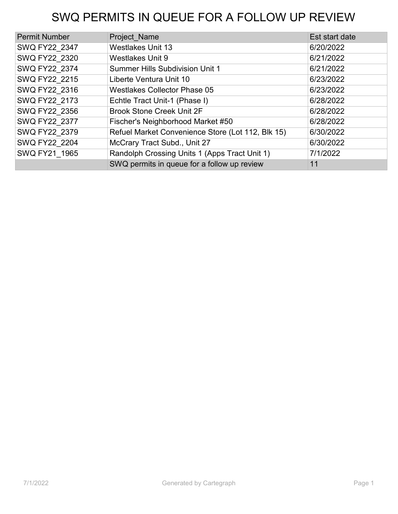# SWQ PERMITS IN QUEUE FOR A FOLLOW UP REVIEW

| <b>Permit Number</b> | Project Name                                      | Est start date |
|----------------------|---------------------------------------------------|----------------|
| SWQ FY22 2347        | <b>Westlakes Unit 13</b>                          | 6/20/2022      |
| SWQ FY22 2320        | <b>Westlakes Unit 9</b>                           | 6/21/2022      |
| SWQ FY22 2374        | <b>Summer Hills Subdivision Unit 1</b>            | 6/21/2022      |
| SWQ FY22 2215        | Liberte Ventura Unit 10                           | 6/23/2022      |
| SWQ FY22 2316        | <b>Westlakes Collector Phase 05</b>               | 6/23/2022      |
| SWQ FY22 2173        | Echtle Tract Unit-1 (Phase I)                     | 6/28/2022      |
| SWQ FY22 2356        | <b>Brook Stone Creek Unit 2F</b>                  | 6/28/2022      |
| SWQ FY22 2377        | Fischer's Neighborhood Market #50                 | 6/28/2022      |
| SWQ FY22 2379        | Refuel Market Convenience Store (Lot 112, Blk 15) | 6/30/2022      |
| SWQ FY22 2204        | McCrary Tract Subd., Unit 27                      | 6/30/2022      |
| SWQ FY21 1965        | Randolph Crossing Units 1 (Apps Tract Unit 1)     | 7/1/2022       |
|                      | SWQ permits in queue for a follow up review       | 11             |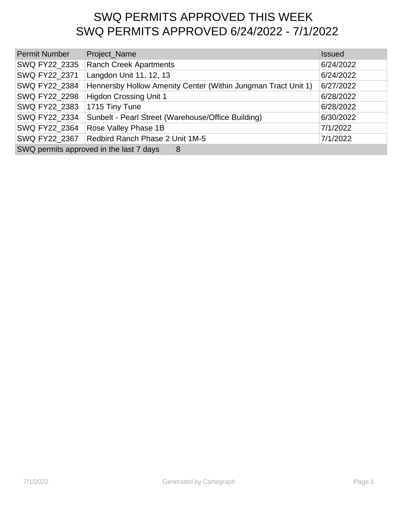## SWQ PERMITS APPROVED THIS WEEK SWQ PERMITS APPROVED 6/24/2022 - 7/1/2022

| <b>Permit Number</b>                         | Project_Name                                                  | <b>Issued</b> |
|----------------------------------------------|---------------------------------------------------------------|---------------|
| SWQ FY22 2335                                | Ranch Creek Apartments                                        | 6/24/2022     |
| SWQ FY22_2371                                | Langdon Unit 11, 12, 13                                       | 6/24/2022     |
| SWQ FY22 2384                                | Hennersby Hollow Amenity Center (Within Jungman Tract Unit 1) | 6/27/2022     |
| SWQ FY22_2298                                | <b>Higdon Crossing Unit 1</b>                                 | 6/28/2022     |
| SWQ FY22 2383                                | 1715 Tiny Tune                                                | 6/28/2022     |
| SWQ FY22 2334                                | Sunbelt - Pearl Street (Warehouse/Office Building)            | 6/30/2022     |
| SWQ FY22 2364                                | Rose Valley Phase 1B                                          | 7/1/2022      |
| SWQ FY22 2367                                | Redbird Ranch Phase 2 Unit 1M-5                               | 7/1/2022      |
| SWQ permits approved in the last 7 days<br>8 |                                                               |               |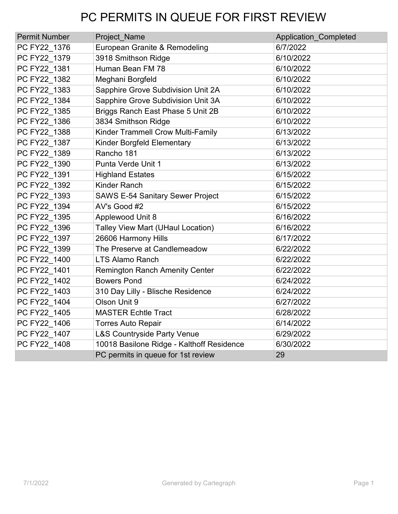# PC PERMITS IN QUEUE FOR FIRST REVIEW

| <b>Permit Number</b> | Project Name                              | <b>Application Completed</b> |
|----------------------|-------------------------------------------|------------------------------|
| PC FY22 1376         | European Granite & Remodeling             | 6/7/2022                     |
| PC FY22_1379         | 3918 Smithson Ridge                       | 6/10/2022                    |
| PC FY22 1381         | Human Bean FM 78                          | 6/10/2022                    |
| PC FY22 1382         | Meghani Borgfeld                          | 6/10/2022                    |
| PC FY22 1383         | Sapphire Grove Subdivision Unit 2A        | 6/10/2022                    |
| PC FY22 1384         | Sapphire Grove Subdivision Unit 3A        | 6/10/2022                    |
| PC FY22 1385         | Briggs Ranch East Phase 5 Unit 2B         | 6/10/2022                    |
| PC FY22 1386         | 3834 Smithson Ridge                       | 6/10/2022                    |
| PC FY22 1388         | Kinder Trammell Crow Multi-Family         | 6/13/2022                    |
| PC FY22 1387         | Kinder Borgfeld Elementary                | 6/13/2022                    |
| PC FY22 1389         | Rancho 181                                | 6/13/2022                    |
| PC FY22 1390         | Punta Verde Unit 1                        | 6/13/2022                    |
| PC FY22_1391         | <b>Highland Estates</b>                   | 6/15/2022                    |
| PC FY22 1392         | <b>Kinder Ranch</b>                       | 6/15/2022                    |
| PC FY22 1393         | <b>SAWS E-54 Sanitary Sewer Project</b>   | 6/15/2022                    |
| PC FY22 1394         | AV's Good #2                              | 6/15/2022                    |
| PC FY22 1395         | Applewood Unit 8                          | 6/16/2022                    |
| PC FY22 1396         | <b>Talley View Mart (UHaul Location)</b>  | 6/16/2022                    |
| PC FY22 1397         | 26606 Harmony Hills                       | 6/17/2022                    |
| PC FY22 1399         | The Preserve at Candlemeadow              | 6/22/2022                    |
| PC FY22 1400         | <b>LTS Alamo Ranch</b>                    | 6/22/2022                    |
| PC FY22 1401         | <b>Remington Ranch Amenity Center</b>     | 6/22/2022                    |
| PC FY22 1402         | <b>Bowers Pond</b>                        | 6/24/2022                    |
| PC FY22 1403         | 310 Day Lilly - Blische Residence         | 6/24/2022                    |
| PC FY22 1404         | Olson Unit 9                              | 6/27/2022                    |
| PC FY22 1405         | <b>MASTER Echtle Tract</b>                | 6/28/2022                    |
| PC FY22 1406         | <b>Torres Auto Repair</b>                 | 6/14/2022                    |
| PC FY22_1407         | L&S Countryside Party Venue               | 6/29/2022                    |
| PC FY22_1408         | 10018 Basilone Ridge - Kalthoff Residence | 6/30/2022                    |
|                      | PC permits in queue for 1st review        | 29                           |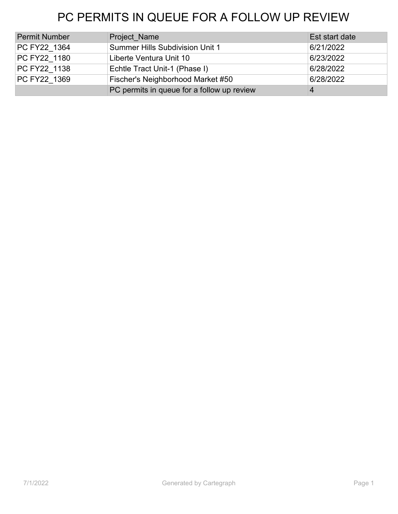# PC PERMITS IN QUEUE FOR A FOLLOW UP REVIEW

| <b>Permit Number</b> | <b>Project Name</b>                        | Est start date |
|----------------------|--------------------------------------------|----------------|
| PC FY22 1364         | <b>Summer Hills Subdivision Unit 1</b>     | 6/21/2022      |
| PC FY22 1180         | Liberte Ventura Unit 10                    | 6/23/2022      |
| PC FY22 1138         | Echtle Tract Unit-1 (Phase I)              | 6/28/2022      |
| PC FY22 1369         | Fischer's Neighborhood Market #50          | 6/28/2022      |
|                      | PC permits in queue for a follow up review | 4              |